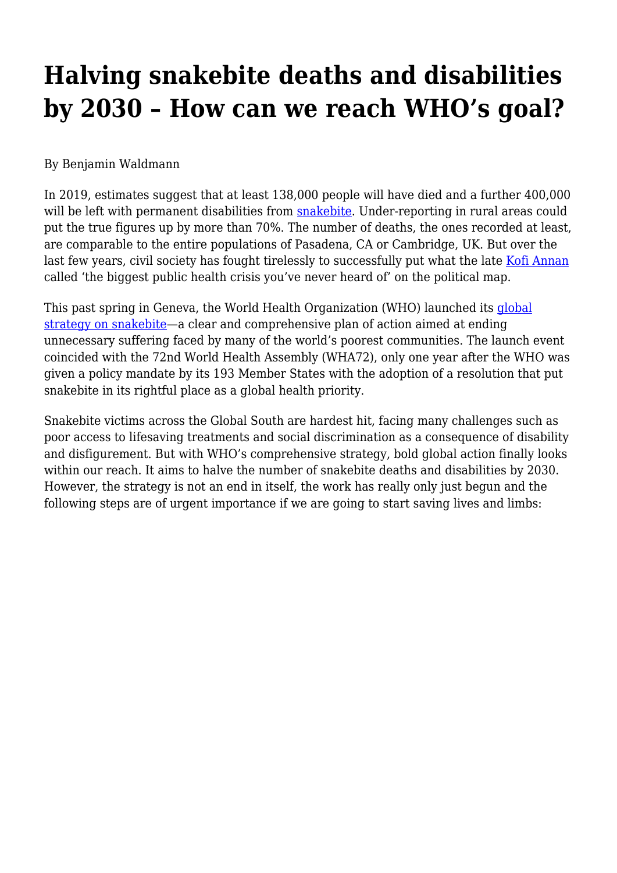# **Halving snakebite deaths and disabilities by 2030 – How can we reach WHO's goal?**

## By Benjamin Waldmann

In 2019, estimates suggest that at least 138,000 people will have died and a further 400,000 will be left with permanent disabilities from [snakebite.](#page--1-0) Under-reporting in rural areas could put the true figures up by more than 70%. The number of deaths, the ones recorded at least, are comparable to the entire populations of Pasadena, CA or Cambridge, UK. But over the last few years, civil society has fought tirelessly to successfully put what the late [Kofi Annan](https://www.kofiannanfoundation.org/combatting-hunger/public-health-snakebite/) called 'the biggest public health crisis you've never heard of' on the political map.

This past spring in Geneva, the World Health Organization (WHO) launched its [global](https://haiweb.org/publication/hai-global-snakebite-initiative-applaud-whos-adoption-snakebite-envenoming-top-level-neglected-tropical-disease/) [strategy on snakebite—](https://haiweb.org/publication/hai-global-snakebite-initiative-applaud-whos-adoption-snakebite-envenoming-top-level-neglected-tropical-disease/)a clear and comprehensive plan of action aimed at ending unnecessary suffering faced by many of the world's poorest communities. The launch event coincided with the 72nd World Health Assembly (WHA72), only one year after the WHO was given a policy mandate by its 193 Member States with the adoption of a resolution that put snakebite in its rightful place as a global health priority.

Snakebite victims across the Global South are hardest hit, facing many challenges such as poor access to lifesaving treatments and social discrimination as a consequence of disability and disfigurement. But with WHO's comprehensive strategy, bold global action finally looks within our reach. It aims to halve the number of snakebite deaths and disabilities by 2030. However, the strategy is not an end in itself, the work has really only just begun and the following steps are of urgent importance if we are going to start saving lives and limbs: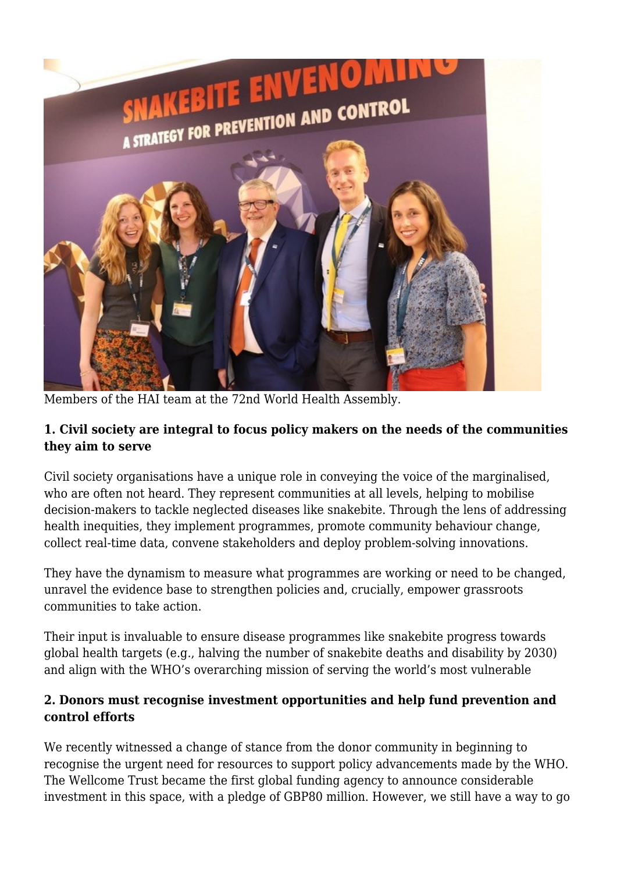

Members of the HAI team at the 72nd World Health Assembly.

## **1. Civil society are integral to focus policy makers on the needs of the communities they aim to serve**

Civil society organisations have a unique role in conveying the voice of the marginalised, who are often not heard. They represent communities at all levels, helping to mobilise decision-makers to tackle neglected diseases like snakebite. Through the lens of addressing health inequities, they implement programmes, promote community behaviour change, collect real-time data, convene stakeholders and deploy problem-solving innovations.

They have the dynamism to measure what programmes are working or need to be changed, unravel the evidence base to strengthen policies and, crucially, empower grassroots communities to take action.

Their input is invaluable to ensure disease programmes like snakebite progress towards global health targets (e.g., halving the number of snakebite deaths and disability by 2030) and align with the WHO's overarching mission of serving the world's most vulnerable

## **2. Donors must recognise investment opportunities and help fund prevention and control efforts**

We recently witnessed a change of stance from the donor community in beginning to recognise the urgent need for resources to support policy advancements made by the WHO. The Wellcome Trust became the first global funding agency to announce considerable investment in this space, with a pledge of GBP80 million. However, we still have a way to go